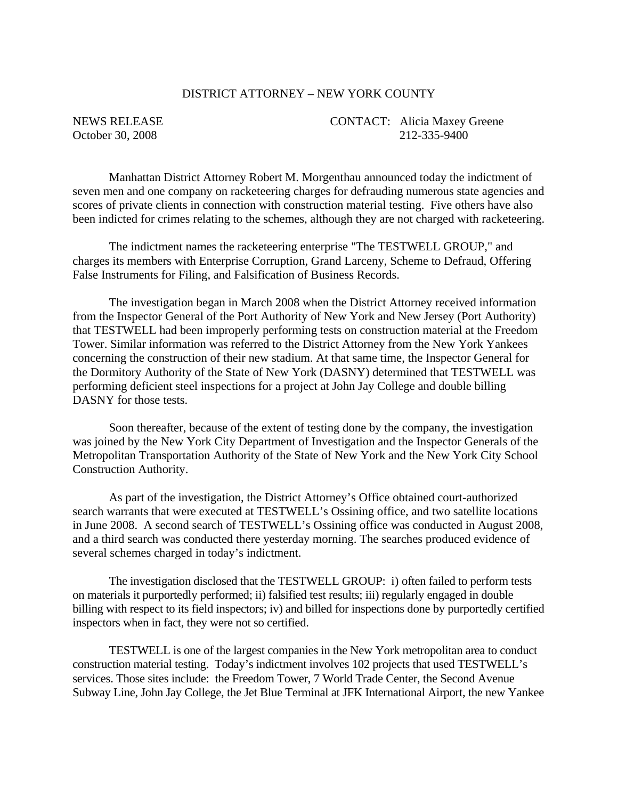# DISTRICT ATTORNEY – NEW YORK COUNTY

NEWS RELEASE CONTACT: Alicia Maxey Greene October 30, 2008 212-335-9400

Manhattan District Attorney Robert M. Morgenthau announced today the indictment of seven men and one company on racketeering charges for defrauding numerous state agencies and scores of private clients in connection with construction material testing. Five others have also been indicted for crimes relating to the schemes, although they are not charged with racketeering.

The indictment names the racketeering enterprise "The TESTWELL GROUP," and charges its members with Enterprise Corruption, Grand Larceny, Scheme to Defraud, Offering False Instruments for Filing, and Falsification of Business Records.

The investigation began in March 2008 when the District Attorney received information from the Inspector General of the Port Authority of New York and New Jersey (Port Authority) that TESTWELL had been improperly performing tests on construction material at the Freedom Tower. Similar information was referred to the District Attorney from the New York Yankees concerning the construction of their new stadium. At that same time, the Inspector General for the Dormitory Authority of the State of New York (DASNY) determined that TESTWELL was performing deficient steel inspections for a project at John Jay College and double billing DASNY for those tests.

Soon thereafter, because of the extent of testing done by the company, the investigation was joined by the New York City Department of Investigation and the Inspector Generals of the Metropolitan Transportation Authority of the State of New York and the New York City School Construction Authority.

As part of the investigation, the District Attorney's Office obtained court-authorized search warrants that were executed at TESTWELL's Ossining office, and two satellite locations in June 2008. A second search of TESTWELL's Ossining office was conducted in August 2008, and a third search was conducted there yesterday morning. The searches produced evidence of several schemes charged in today's indictment.

The investigation disclosed that the TESTWELL GROUP: i) often failed to perform tests on materials it purportedly performed; ii) falsified test results; iii) regularly engaged in double billing with respect to its field inspectors; iv) and billed for inspections done by purportedly certified inspectors when in fact, they were not so certified.

TESTWELL is one of the largest companies in the New York metropolitan area to conduct construction material testing. Today's indictment involves 102 projects that used TESTWELL's services. Those sites include: the Freedom Tower, 7 World Trade Center, the Second Avenue Subway Line, John Jay College, the Jet Blue Terminal at JFK International Airport, the new Yankee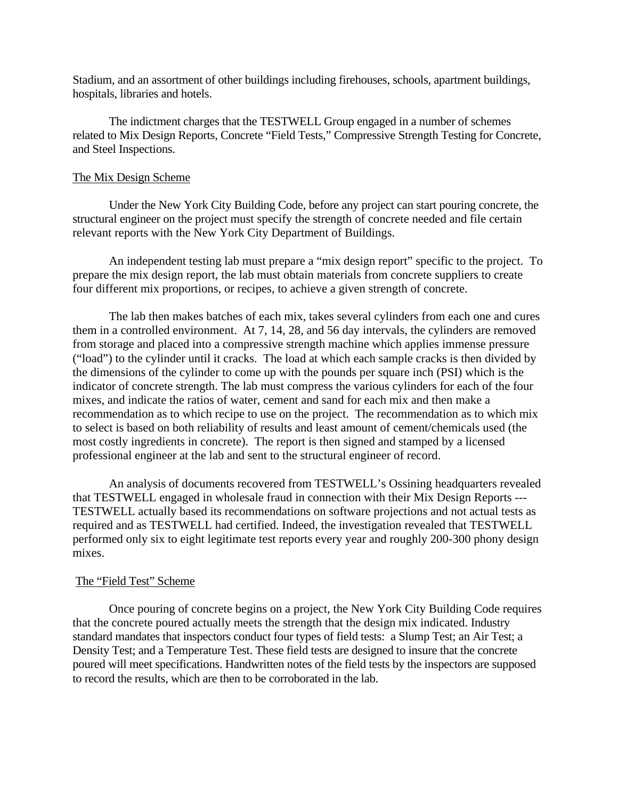Stadium, and an assortment of other buildings including firehouses, schools, apartment buildings, hospitals, libraries and hotels.

The indictment charges that the TESTWELL Group engaged in a number of schemes related to Mix Design Reports, Concrete "Field Tests," Compressive Strength Testing for Concrete, and Steel Inspections.

## The Mix Design Scheme

Under the New York City Building Code, before any project can start pouring concrete, the structural engineer on the project must specify the strength of concrete needed and file certain relevant reports with the New York City Department of Buildings.

 An independent testing lab must prepare a "mix design report" specific to the project. To prepare the mix design report, the lab must obtain materials from concrete suppliers to create four different mix proportions, or recipes, to achieve a given strength of concrete.

 The lab then makes batches of each mix, takes several cylinders from each one and cures them in a controlled environment. At 7, 14, 28, and 56 day intervals, the cylinders are removed from storage and placed into a compressive strength machine which applies immense pressure ("load") to the cylinder until it cracks. The load at which each sample cracks is then divided by the dimensions of the cylinder to come up with the pounds per square inch (PSI) which is the indicator of concrete strength. The lab must compress the various cylinders for each of the four mixes, and indicate the ratios of water, cement and sand for each mix and then make a recommendation as to which recipe to use on the project. The recommendation as to which mix to select is based on both reliability of results and least amount of cement/chemicals used (the most costly ingredients in concrete). The report is then signed and stamped by a licensed professional engineer at the lab and sent to the structural engineer of record.

 An analysis of documents recovered from TESTWELL's Ossining headquarters revealed that TESTWELL engaged in wholesale fraud in connection with their Mix Design Reports --- TESTWELL actually based its recommendations on software projections and not actual tests as required and as TESTWELL had certified. Indeed, the investigation revealed that TESTWELL performed only six to eight legitimate test reports every year and roughly 200-300 phony design mixes.

# The "Field Test" Scheme

 Once pouring of concrete begins on a project, the New York City Building Code requires that the concrete poured actually meets the strength that the design mix indicated. Industry standard mandates that inspectors conduct four types of field tests: a Slump Test; an Air Test; a Density Test; and a Temperature Test. These field tests are designed to insure that the concrete poured will meet specifications. Handwritten notes of the field tests by the inspectors are supposed to record the results, which are then to be corroborated in the lab.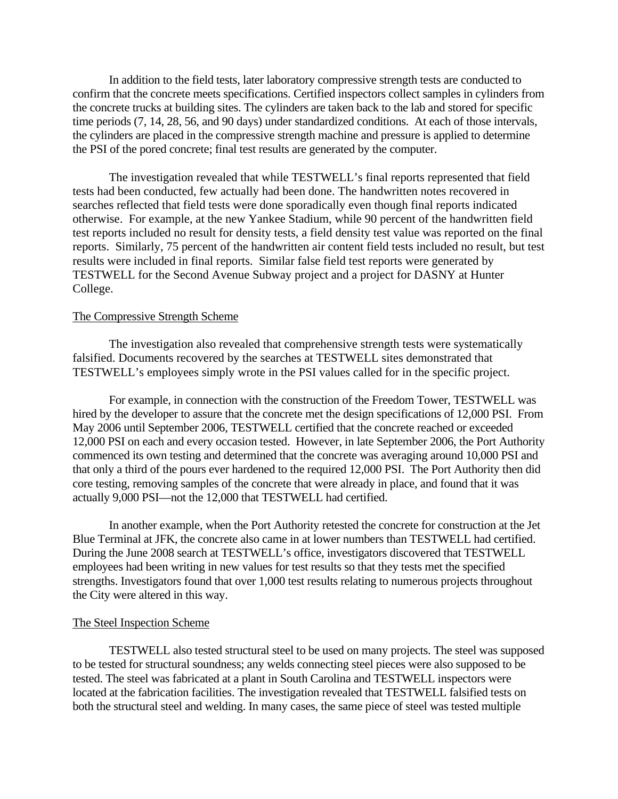In addition to the field tests, later laboratory compressive strength tests are conducted to confirm that the concrete meets specifications. Certified inspectors collect samples in cylinders from the concrete trucks at building sites. The cylinders are taken back to the lab and stored for specific time periods (7, 14, 28, 56, and 90 days) under standardized conditions. At each of those intervals, the cylinders are placed in the compressive strength machine and pressure is applied to determine the PSI of the pored concrete; final test results are generated by the computer.

 The investigation revealed that while TESTWELL's final reports represented that field tests had been conducted, few actually had been done. The handwritten notes recovered in searches reflected that field tests were done sporadically even though final reports indicated otherwise. For example, at the new Yankee Stadium, while 90 percent of the handwritten field test reports included no result for density tests, a field density test value was reported on the final reports. Similarly, 75 percent of the handwritten air content field tests included no result, but test results were included in final reports. Similar false field test reports were generated by TESTWELL for the Second Avenue Subway project and a project for DASNY at Hunter College.

# The Compressive Strength Scheme

 The investigation also revealed that comprehensive strength tests were systematically falsified. Documents recovered by the searches at TESTWELL sites demonstrated that TESTWELL's employees simply wrote in the PSI values called for in the specific project.

 For example, in connection with the construction of the Freedom Tower, TESTWELL was hired by the developer to assure that the concrete met the design specifications of 12,000 PSI. From May 2006 until September 2006, TESTWELL certified that the concrete reached or exceeded 12,000 PSI on each and every occasion tested. However, in late September 2006, the Port Authority commenced its own testing and determined that the concrete was averaging around 10,000 PSI and that only a third of the pours ever hardened to the required 12,000 PSI. The Port Authority then did core testing, removing samples of the concrete that were already in place, and found that it was actually 9,000 PSI—not the 12,000 that TESTWELL had certified.

 In another example, when the Port Authority retested the concrete for construction at the Jet Blue Terminal at JFK, the concrete also came in at lower numbers than TESTWELL had certified. During the June 2008 search at TESTWELL's office, investigators discovered that TESTWELL employees had been writing in new values for test results so that they tests met the specified strengths. Investigators found that over 1,000 test results relating to numerous projects throughout the City were altered in this way.

#### The Steel Inspection Scheme

 TESTWELL also tested structural steel to be used on many projects. The steel was supposed to be tested for structural soundness; any welds connecting steel pieces were also supposed to be tested. The steel was fabricated at a plant in South Carolina and TESTWELL inspectors were located at the fabrication facilities. The investigation revealed that TESTWELL falsified tests on both the structural steel and welding. In many cases, the same piece of steel was tested multiple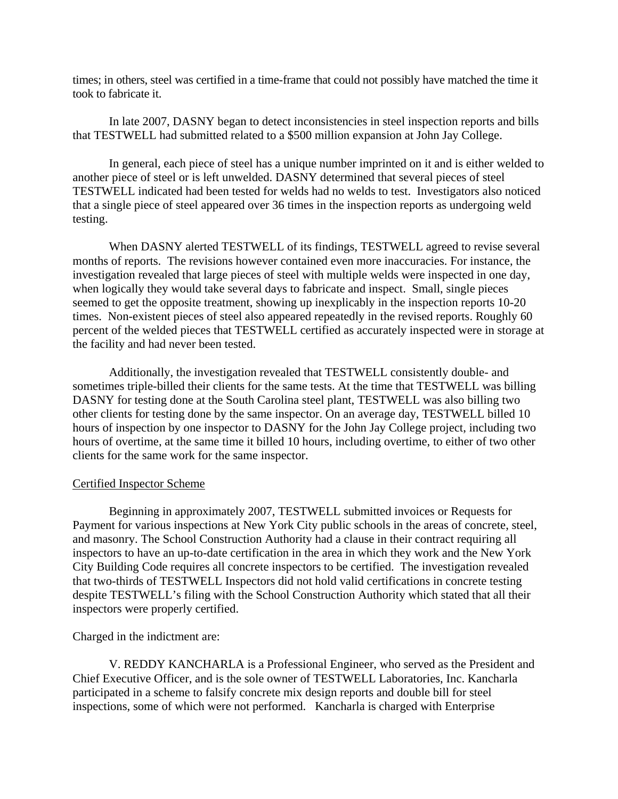times; in others, steel was certified in a time-frame that could not possibly have matched the time it took to fabricate it.

 In late 2007, DASNY began to detect inconsistencies in steel inspection reports and bills that TESTWELL had submitted related to a \$500 million expansion at John Jay College.

 In general, each piece of steel has a unique number imprinted on it and is either welded to another piece of steel or is left unwelded. DASNY determined that several pieces of steel TESTWELL indicated had been tested for welds had no welds to test. Investigators also noticed that a single piece of steel appeared over 36 times in the inspection reports as undergoing weld testing.

 When DASNY alerted TESTWELL of its findings, TESTWELL agreed to revise several months of reports. The revisions however contained even more inaccuracies. For instance, the investigation revealed that large pieces of steel with multiple welds were inspected in one day, when logically they would take several days to fabricate and inspect. Small, single pieces seemed to get the opposite treatment, showing up inexplicably in the inspection reports 10-20 times. Non-existent pieces of steel also appeared repeatedly in the revised reports. Roughly 60 percent of the welded pieces that TESTWELL certified as accurately inspected were in storage at the facility and had never been tested.

 Additionally, the investigation revealed that TESTWELL consistently double- and sometimes triple-billed their clients for the same tests. At the time that TESTWELL was billing DASNY for testing done at the South Carolina steel plant, TESTWELL was also billing two other clients for testing done by the same inspector. On an average day, TESTWELL billed 10 hours of inspection by one inspector to DASNY for the John Jay College project, including two hours of overtime, at the same time it billed 10 hours, including overtime, to either of two other clients for the same work for the same inspector.

## Certified Inspector Scheme

 Beginning in approximately 2007, TESTWELL submitted invoices or Requests for Payment for various inspections at New York City public schools in the areas of concrete, steel, and masonry. The School Construction Authority had a clause in their contract requiring all inspectors to have an up-to-date certification in the area in which they work and the New York City Building Code requires all concrete inspectors to be certified. The investigation revealed that two-thirds of TESTWELL Inspectors did not hold valid certifications in concrete testing despite TESTWELL's filing with the School Construction Authority which stated that all their inspectors were properly certified.

Charged in the indictment are:

V. REDDY KANCHARLA is a Professional Engineer, who served as the President and Chief Executive Officer, and is the sole owner of TESTWELL Laboratories, Inc. Kancharla participated in a scheme to falsify concrete mix design reports and double bill for steel inspections, some of which were not performed. Kancharla is charged with Enterprise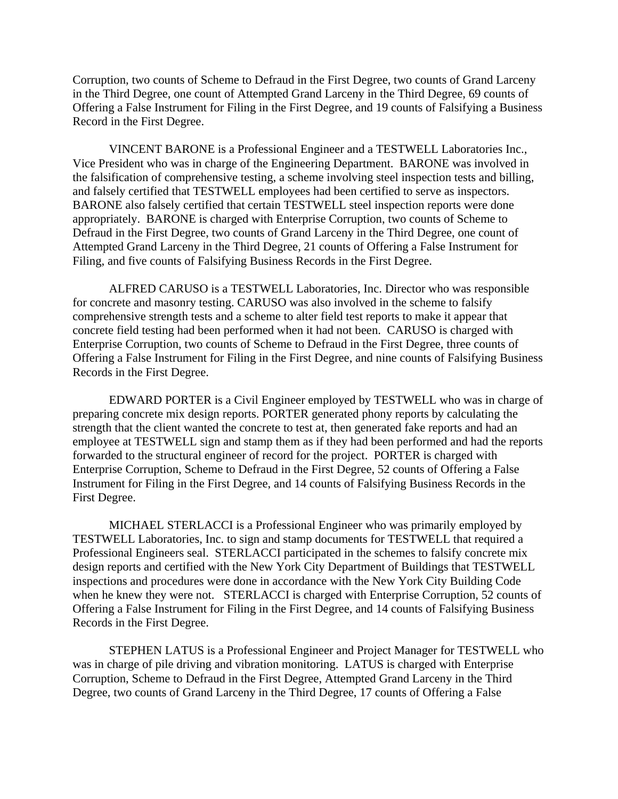Corruption, two counts of Scheme to Defraud in the First Degree, two counts of Grand Larceny in the Third Degree, one count of Attempted Grand Larceny in the Third Degree, 69 counts of Offering a False Instrument for Filing in the First Degree, and 19 counts of Falsifying a Business Record in the First Degree.

 VINCENT BARONE is a Professional Engineer and a TESTWELL Laboratories Inc., Vice President who was in charge of the Engineering Department. BARONE was involved in the falsification of comprehensive testing, a scheme involving steel inspection tests and billing, and falsely certified that TESTWELL employees had been certified to serve as inspectors. BARONE also falsely certified that certain TESTWELL steel inspection reports were done appropriately. BARONE is charged with Enterprise Corruption, two counts of Scheme to Defraud in the First Degree, two counts of Grand Larceny in the Third Degree, one count of Attempted Grand Larceny in the Third Degree, 21 counts of Offering a False Instrument for Filing, and five counts of Falsifying Business Records in the First Degree.

 ALFRED CARUSO is a TESTWELL Laboratories, Inc. Director who was responsible for concrete and masonry testing. CARUSO was also involved in the scheme to falsify comprehensive strength tests and a scheme to alter field test reports to make it appear that concrete field testing had been performed when it had not been. CARUSO is charged with Enterprise Corruption, two counts of Scheme to Defraud in the First Degree, three counts of Offering a False Instrument for Filing in the First Degree, and nine counts of Falsifying Business Records in the First Degree.

 EDWARD PORTER is a Civil Engineer employed by TESTWELL who was in charge of preparing concrete mix design reports. PORTER generated phony reports by calculating the strength that the client wanted the concrete to test at, then generated fake reports and had an employee at TESTWELL sign and stamp them as if they had been performed and had the reports forwarded to the structural engineer of record for the project. PORTER is charged with Enterprise Corruption, Scheme to Defraud in the First Degree, 52 counts of Offering a False Instrument for Filing in the First Degree, and 14 counts of Falsifying Business Records in the First Degree.

 MICHAEL STERLACCI is a Professional Engineer who was primarily employed by TESTWELL Laboratories, Inc. to sign and stamp documents for TESTWELL that required a Professional Engineers seal. STERLACCI participated in the schemes to falsify concrete mix design reports and certified with the New York City Department of Buildings that TESTWELL inspections and procedures were done in accordance with the New York City Building Code when he knew they were not. STERLACCI is charged with Enterprise Corruption, 52 counts of Offering a False Instrument for Filing in the First Degree, and 14 counts of Falsifying Business Records in the First Degree.

 STEPHEN LATUS is a Professional Engineer and Project Manager for TESTWELL who was in charge of pile driving and vibration monitoring. LATUS is charged with Enterprise Corruption, Scheme to Defraud in the First Degree, Attempted Grand Larceny in the Third Degree, two counts of Grand Larceny in the Third Degree, 17 counts of Offering a False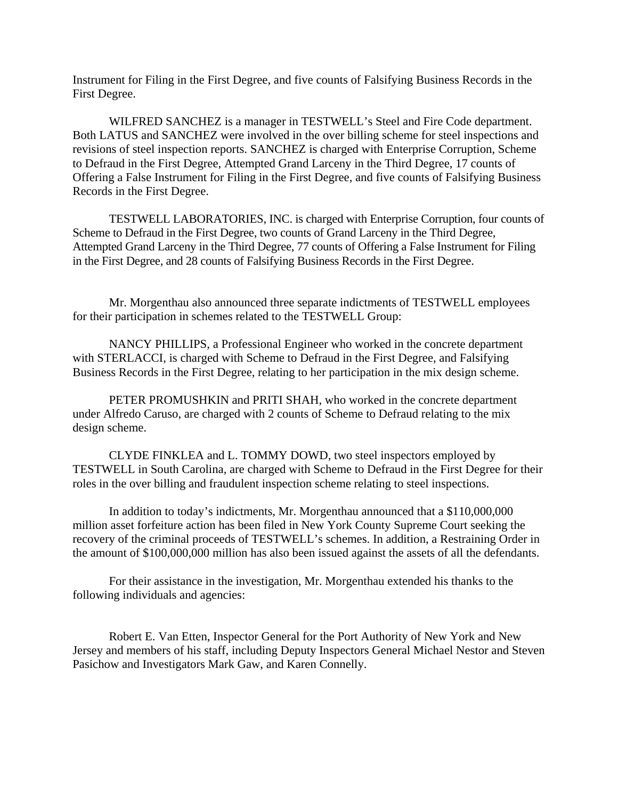Instrument for Filing in the First Degree, and five counts of Falsifying Business Records in the First Degree.

 WILFRED SANCHEZ is a manager in TESTWELL's Steel and Fire Code department. Both LATUS and SANCHEZ were involved in the over billing scheme for steel inspections and revisions of steel inspection reports. SANCHEZ is charged with Enterprise Corruption, Scheme to Defraud in the First Degree, Attempted Grand Larceny in the Third Degree, 17 counts of Offering a False Instrument for Filing in the First Degree, and five counts of Falsifying Business Records in the First Degree.

 TESTWELL LABORATORIES, INC. is charged with Enterprise Corruption, four counts of Scheme to Defraud in the First Degree, two counts of Grand Larceny in the Third Degree, Attempted Grand Larceny in the Third Degree, 77 counts of Offering a False Instrument for Filing in the First Degree, and 28 counts of Falsifying Business Records in the First Degree.

 Mr. Morgenthau also announced three separate indictments of TESTWELL employees for their participation in schemes related to the TESTWELL Group:

 NANCY PHILLIPS, a Professional Engineer who worked in the concrete department with STERLACCI, is charged with Scheme to Defraud in the First Degree, and Falsifying Business Records in the First Degree, relating to her participation in the mix design scheme.

 PETER PROMUSHKIN and PRITI SHAH, who worked in the concrete department under Alfredo Caruso, are charged with 2 counts of Scheme to Defraud relating to the mix design scheme.

 CLYDE FINKLEA and L. TOMMY DOWD, two steel inspectors employed by TESTWELL in South Carolina, are charged with Scheme to Defraud in the First Degree for their roles in the over billing and fraudulent inspection scheme relating to steel inspections.

 In addition to today's indictments, Mr. Morgenthau announced that a \$110,000,000 million asset forfeiture action has been filed in New York County Supreme Court seeking the recovery of the criminal proceeds of TESTWELL's schemes. In addition, a Restraining Order in the amount of \$100,000,000 million has also been issued against the assets of all the defendants.

 For their assistance in the investigation, Mr. Morgenthau extended his thanks to the following individuals and agencies:

 Robert E. Van Etten, Inspector General for the Port Authority of New York and New Jersey and members of his staff, including Deputy Inspectors General Michael Nestor and Steven Pasichow and Investigators Mark Gaw, and Karen Connelly.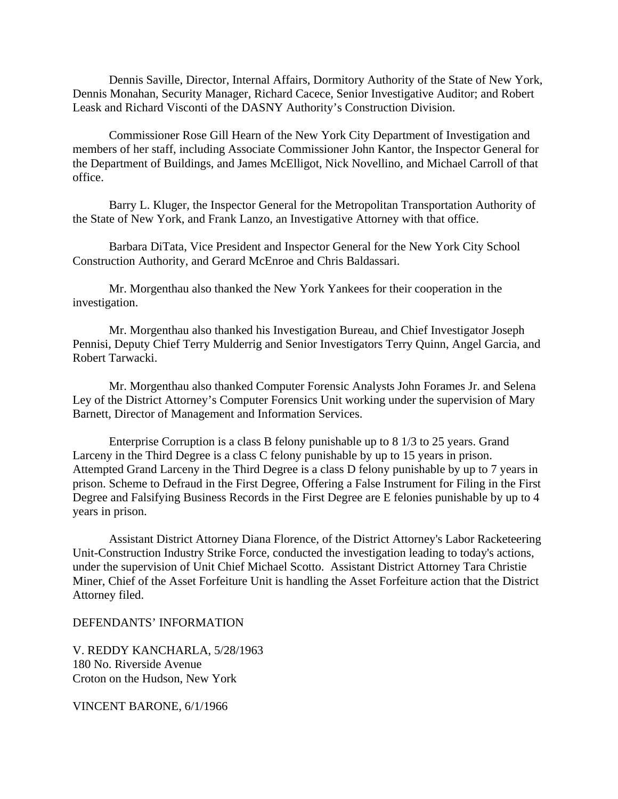Dennis Saville, Director, Internal Affairs, Dormitory Authority of the State of New York, Dennis Monahan, Security Manager, Richard Cacece, Senior Investigative Auditor; and Robert Leask and Richard Visconti of the DASNY Authority's Construction Division.

 Commissioner Rose Gill Hearn of the New York City Department of Investigation and members of her staff, including Associate Commissioner John Kantor, the Inspector General for the Department of Buildings, and James McElligot, Nick Novellino, and Michael Carroll of that office.

 Barry L. Kluger, the Inspector General for the Metropolitan Transportation Authority of the State of New York, and Frank Lanzo, an Investigative Attorney with that office.

 Barbara DiTata, Vice President and Inspector General for the New York City School Construction Authority, and Gerard McEnroe and Chris Baldassari.

 Mr. Morgenthau also thanked the New York Yankees for their cooperation in the investigation.

 Mr. Morgenthau also thanked his Investigation Bureau, and Chief Investigator Joseph Pennisi, Deputy Chief Terry Mulderrig and Senior Investigators Terry Quinn, Angel Garcia, and Robert Tarwacki.

 Mr. Morgenthau also thanked Computer Forensic Analysts John Forames Jr. and Selena Ley of the District Attorney's Computer Forensics Unit working under the supervision of Mary Barnett, Director of Management and Information Services.

 Enterprise Corruption is a class B felony punishable up to 8 1/3 to 25 years. Grand Larceny in the Third Degree is a class C felony punishable by up to 15 years in prison. Attempted Grand Larceny in the Third Degree is a class D felony punishable by up to 7 years in prison. Scheme to Defraud in the First Degree, Offering a False Instrument for Filing in the First Degree and Falsifying Business Records in the First Degree are E felonies punishable by up to 4 years in prison.

 Assistant District Attorney Diana Florence, of the District Attorney's Labor Racketeering Unit-Construction Industry Strike Force, conducted the investigation leading to today's actions, under the supervision of Unit Chief Michael Scotto. Assistant District Attorney Tara Christie Miner, Chief of the Asset Forfeiture Unit is handling the Asset Forfeiture action that the District Attorney filed.

DEFENDANTS' INFORMATION

V. REDDY KANCHARLA, 5/28/1963 180 No. Riverside Avenue Croton on the Hudson, New York

VINCENT BARONE, 6/1/1966